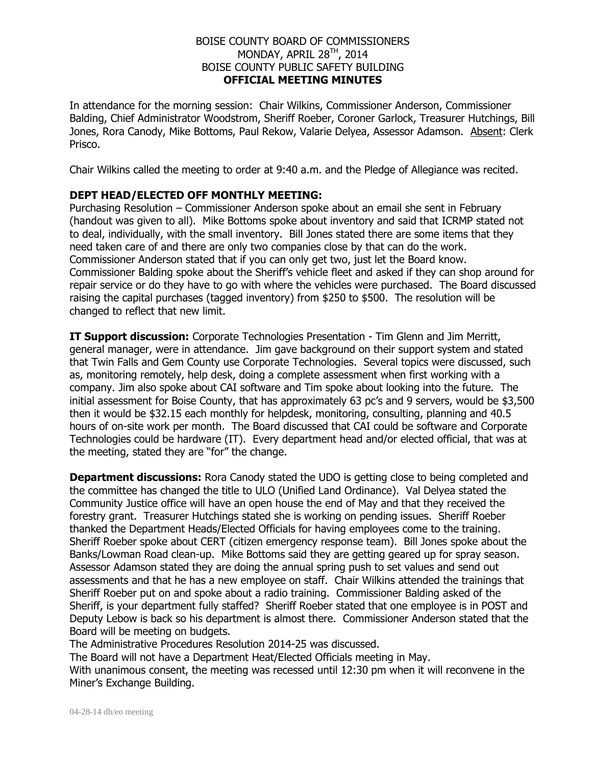## BOISE COUNTY BOARD OF COMMISSIONERS MONDAY, APRIL 28<sup>TH</sup>, 2014 BOISE COUNTY PUBLIC SAFETY BUILDING **OFFICIAL MEETING MINUTES**

In attendance for the morning session: Chair Wilkins, Commissioner Anderson, Commissioner Balding, Chief Administrator Woodstrom, Sheriff Roeber, Coroner Garlock, Treasurer Hutchings, Bill Jones, Rora Canody, Mike Bottoms, Paul Rekow, Valarie Delyea, Assessor Adamson. Absent: Clerk Prisco.

Chair Wilkins called the meeting to order at 9:40 a.m. and the Pledge of Allegiance was recited.

## **DEPT HEAD/ELECTED OFF MONTHLY MEETING:**

Purchasing Resolution – Commissioner Anderson spoke about an email she sent in February (handout was given to all). Mike Bottoms spoke about inventory and said that ICRMP stated not to deal, individually, with the small inventory. Bill Jones stated there are some items that they need taken care of and there are only two companies close by that can do the work. Commissioner Anderson stated that if you can only get two, just let the Board know. Commissioner Balding spoke about the Sheriff's vehicle fleet and asked if they can shop around for repair service or do they have to go with where the vehicles were purchased. The Board discussed raising the capital purchases (tagged inventory) from \$250 to \$500. The resolution will be changed to reflect that new limit.

**IT Support discussion:** Corporate Technologies Presentation - Tim Glenn and Jim Merritt, general manager, were in attendance. Jim gave background on their support system and stated that Twin Falls and Gem County use Corporate Technologies. Several topics were discussed, such as, monitoring remotely, help desk, doing a complete assessment when first working with a company. Jim also spoke about CAI software and Tim spoke about looking into the future. The initial assessment for Boise County, that has approximately 63 pc's and 9 servers, would be \$3,500 then it would be \$32.15 each monthly for helpdesk, monitoring, consulting, planning and 40.5 hours of on-site work per month. The Board discussed that CAI could be software and Corporate Technologies could be hardware (IT). Every department head and/or elected official, that was at the meeting, stated they are "for" the change.

**Department discussions:** Rora Canody stated the UDO is getting close to being completed and the committee has changed the title to ULO (Unified Land Ordinance). Val Delyea stated the Community Justice office will have an open house the end of May and that they received the forestry grant. Treasurer Hutchings stated she is working on pending issues. Sheriff Roeber thanked the Department Heads/Elected Officials for having employees come to the training. Sheriff Roeber spoke about CERT (citizen emergency response team). Bill Jones spoke about the Banks/Lowman Road clean-up. Mike Bottoms said they are getting geared up for spray season. Assessor Adamson stated they are doing the annual spring push to set values and send out assessments and that he has a new employee on staff. Chair Wilkins attended the trainings that Sheriff Roeber put on and spoke about a radio training. Commissioner Balding asked of the Sheriff, is your department fully staffed? Sheriff Roeber stated that one employee is in POST and Deputy Lebow is back so his department is almost there. Commissioner Anderson stated that the Board will be meeting on budgets.

The Administrative Procedures Resolution 2014-25 was discussed.

The Board will not have a Department Heat/Elected Officials meeting in May.

With unanimous consent, the meeting was recessed until 12:30 pm when it will reconvene in the Miner's Exchange Building.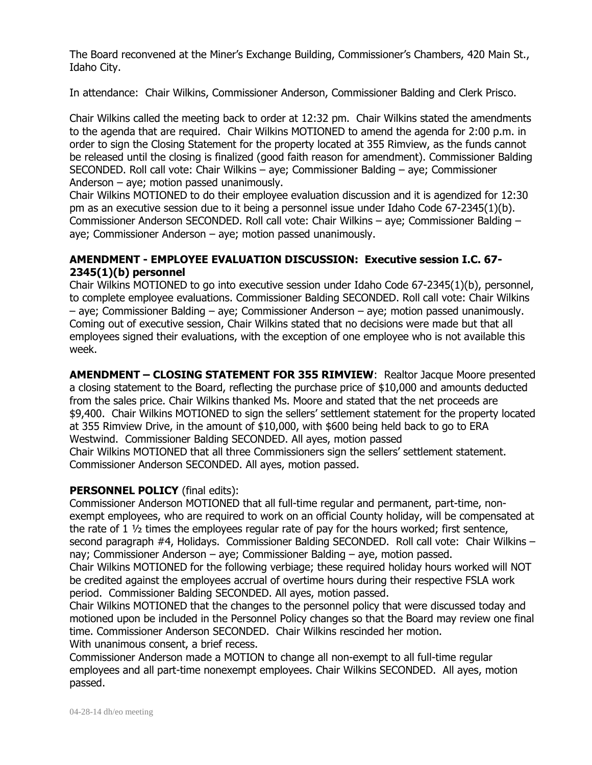The Board reconvened at the Miner's Exchange Building, Commissioner's Chambers, 420 Main St., Idaho City.

In attendance: Chair Wilkins, Commissioner Anderson, Commissioner Balding and Clerk Prisco.

Chair Wilkins called the meeting back to order at 12:32 pm. Chair Wilkins stated the amendments to the agenda that are required. Chair Wilkins MOTIONED to amend the agenda for 2:00 p.m. in order to sign the Closing Statement for the property located at 355 Rimview, as the funds cannot be released until the closing is finalized (good faith reason for amendment). Commissioner Balding SECONDED. Roll call vote: Chair Wilkins – aye; Commissioner Balding – aye; Commissioner Anderson – aye; motion passed unanimously.

Chair Wilkins MOTIONED to do their employee evaluation discussion and it is agendized for 12:30 pm as an executive session due to it being a personnel issue under Idaho Code 67-2345(1)(b). Commissioner Anderson SECONDED. Roll call vote: Chair Wilkins – aye; Commissioner Balding – aye; Commissioner Anderson – aye; motion passed unanimously.

## **AMENDMENT - EMPLOYEE EVALUATION DISCUSSION: Executive session I.C. 67- 2345(1)(b) personnel**

Chair Wilkins MOTIONED to go into executive session under Idaho Code 67-2345(1)(b), personnel, to complete employee evaluations. Commissioner Balding SECONDED. Roll call vote: Chair Wilkins – aye; Commissioner Balding – aye; Commissioner Anderson – aye; motion passed unanimously. Coming out of executive session, Chair Wilkins stated that no decisions were made but that all employees signed their evaluations, with the exception of one employee who is not available this week.

**AMENDMENT – CLOSING STATEMENT FOR 355 RIMVIEW**: Realtor Jacque Moore presented a closing statement to the Board, reflecting the purchase price of \$10,000 and amounts deducted from the sales price. Chair Wilkins thanked Ms. Moore and stated that the net proceeds are \$9,400. Chair Wilkins MOTIONED to sign the sellers' settlement statement for the property located at 355 Rimview Drive, in the amount of \$10,000, with \$600 being held back to go to ERA Westwind. Commissioner Balding SECONDED. All ayes, motion passed Chair Wilkins MOTIONED that all three Commissioners sign the sellers' settlement statement. Commissioner Anderson SECONDED. All ayes, motion passed.

## **PERSONNEL POLICY** (final edits):

Commissioner Anderson MOTIONED that all full-time regular and permanent, part-time, nonexempt employees, who are required to work on an official County holiday, will be compensated at the rate of  $1\frac{1}{2}$  times the employees regular rate of pay for the hours worked; first sentence, second paragraph #4, Holidays. Commissioner Balding SECONDED. Roll call vote: Chair Wilkins nay; Commissioner Anderson – aye; Commissioner Balding – aye, motion passed.

Chair Wilkins MOTIONED for the following verbiage; these required holiday hours worked will NOT be credited against the employees accrual of overtime hours during their respective FSLA work period. Commissioner Balding SECONDED. All ayes, motion passed.

Chair Wilkins MOTIONED that the changes to the personnel policy that were discussed today and motioned upon be included in the Personnel Policy changes so that the Board may review one final time. Commissioner Anderson SECONDED. Chair Wilkins rescinded her motion.

With unanimous consent, a brief recess.

Commissioner Anderson made a MOTION to change all non-exempt to all full-time regular employees and all part-time nonexempt employees. Chair Wilkins SECONDED. All ayes, motion passed.